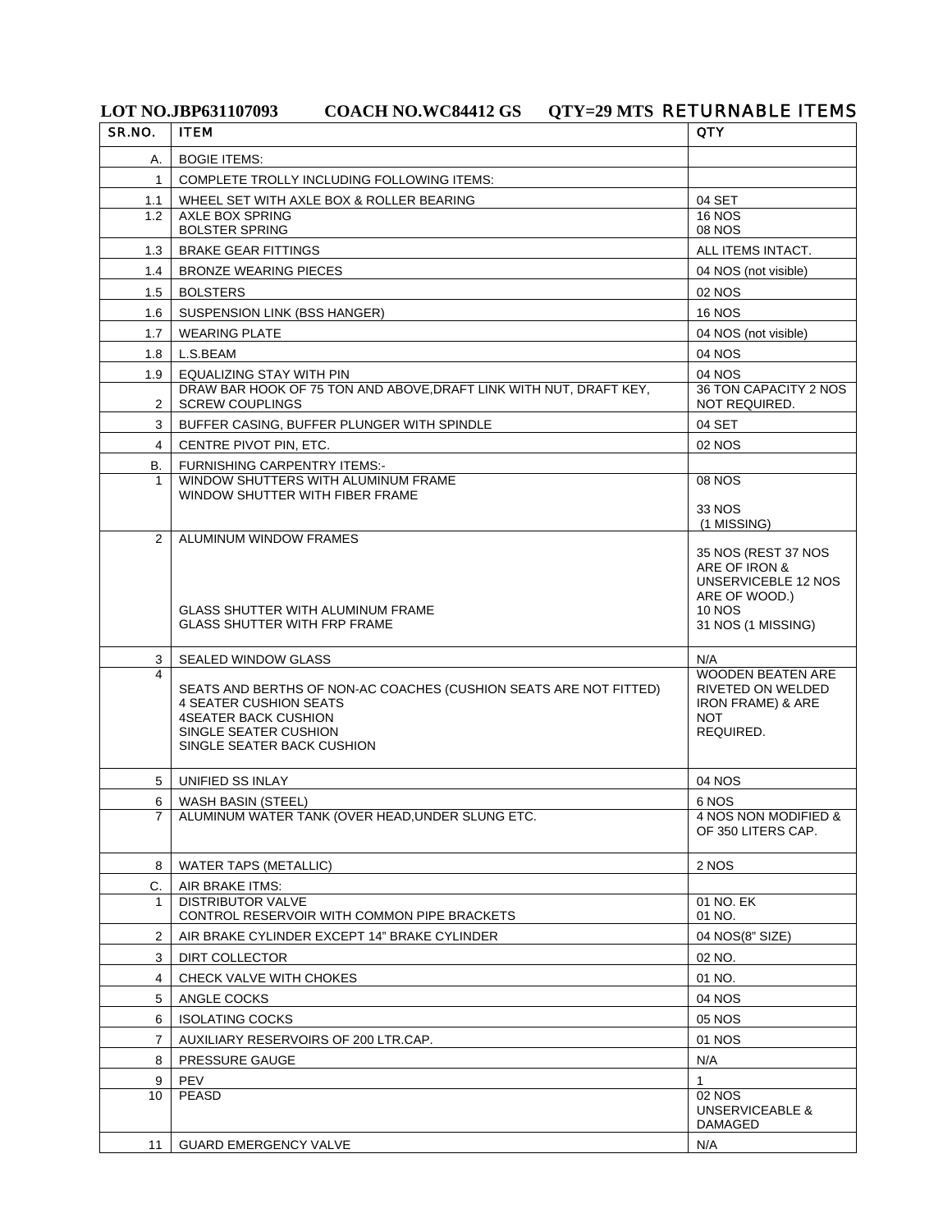## LOT NO.JBP631107093 COACH NO.WC84412 GS QTY=29 MTS **RETURNABLE ITEMS**

| SR.NO.         | <b>ITEM</b>                                                                                                                                                                              | <b>QTY</b>                                                                                               |
|----------------|------------------------------------------------------------------------------------------------------------------------------------------------------------------------------------------|----------------------------------------------------------------------------------------------------------|
| А.             | <b>BOGIE ITEMS:</b>                                                                                                                                                                      |                                                                                                          |
| 1.             | COMPLETE TROLLY INCLUDING FOLLOWING ITEMS:                                                                                                                                               |                                                                                                          |
| 1.1            | WHEEL SET WITH AXLE BOX & ROLLER BEARING                                                                                                                                                 | 04 SET                                                                                                   |
| 1.2            | AXLE BOX SPRING                                                                                                                                                                          | <b>16 NOS</b>                                                                                            |
|                | <b>BOLSTER SPRING</b>                                                                                                                                                                    | 08 NOS                                                                                                   |
| 1.3            | <b>BRAKE GEAR FITTINGS</b>                                                                                                                                                               | ALL ITEMS INTACT.                                                                                        |
| 1.4            | <b>BRONZE WEARING PIECES</b>                                                                                                                                                             | 04 NOS (not visible)                                                                                     |
| 1.5            | <b>BOLSTERS</b>                                                                                                                                                                          | 02 NOS                                                                                                   |
| 1.6            | <b>SUSPENSION LINK (BSS HANGER)</b>                                                                                                                                                      | <b>16 NOS</b>                                                                                            |
| 1.7            | <b>WEARING PLATE</b>                                                                                                                                                                     | 04 NOS (not visible)                                                                                     |
| 1.8            | L.S.BEAM                                                                                                                                                                                 | 04 NOS                                                                                                   |
| 1.9            | EQUALIZING STAY WITH PIN<br>DRAW BAR HOOK OF 75 TON AND ABOVE, DRAFT LINK WITH NUT, DRAFT KEY,                                                                                           | 04 NOS<br>36 TON CAPACITY 2 NOS                                                                          |
| 2              | <b>SCREW COUPLINGS</b>                                                                                                                                                                   | NOT REQUIRED.                                                                                            |
| 3              | BUFFER CASING, BUFFER PLUNGER WITH SPINDLE                                                                                                                                               | 04 SET                                                                                                   |
| 4              | CENTRE PIVOT PIN, ETC.                                                                                                                                                                   | 02 NOS                                                                                                   |
| В.             | <b>FURNISHING CARPENTRY ITEMS:-</b>                                                                                                                                                      |                                                                                                          |
| 1              | WINDOW SHUTTERS WITH ALUMINUM FRAME<br>WINDOW SHUTTER WITH FIBER FRAME                                                                                                                   | <b>08 NOS</b>                                                                                            |
|                |                                                                                                                                                                                          | 33 NOS                                                                                                   |
| $\overline{2}$ | ALUMINUM WINDOW FRAMES                                                                                                                                                                   | (1 MISSING)                                                                                              |
|                | <b>GLASS SHUTTER WITH ALUMINUM FRAME</b>                                                                                                                                                 | 35 NOS (REST 37 NOS<br>ARE OF IRON &<br>UNSERVICEBLE 12 NOS<br>ARE OF WOOD.)<br><b>10 NOS</b>            |
|                | <b>GLASS SHUTTER WITH FRP FRAME</b>                                                                                                                                                      | 31 NOS (1 MISSING)                                                                                       |
| 3              | <b>SEALED WINDOW GLASS</b>                                                                                                                                                               | N/A                                                                                                      |
|                | SEATS AND BERTHS OF NON-AC COACHES (CUSHION SEATS ARE NOT FITTED)<br><b>4 SEATER CUSHION SEATS</b><br><b>4SEATER BACK CUSHION</b><br>SINGLE SEATER CUSHION<br>SINGLE SEATER BACK CUSHION | <b>WOODEN BEATEN ARE</b><br>RIVETED ON WELDED<br><b>IRON FRAME) &amp; ARE</b><br><b>NOT</b><br>REQUIRED. |
| 5              | UNIFIED SS INLAY                                                                                                                                                                         | 04 NOS                                                                                                   |
| 6              | WASH BASIN (STEEL)                                                                                                                                                                       | 6 NOS                                                                                                    |
| $\overline{7}$ | ALUMINUM WATER TANK (OVER HEAD, UNDER SLUNG ETC.                                                                                                                                         | 4 NOS NON MODIFIED &<br>OF 350 LITERS CAP.                                                               |
| 8              | <b>WATER TAPS (METALLIC)</b>                                                                                                                                                             | 2 NOS                                                                                                    |
| C.             | AIR BRAKE ITMS:                                                                                                                                                                          |                                                                                                          |
| 1              | <b>DISTRIBUTOR VALVE</b><br>CONTROL RESERVOIR WITH COMMON PIPE BRACKETS                                                                                                                  | 01 NO. EK<br>01 NO.                                                                                      |
| 2              | AIR BRAKE CYLINDER EXCEPT 14" BRAKE CYLINDER                                                                                                                                             | 04 NOS(8" SIZE)                                                                                          |
| 3              | <b>DIRT COLLECTOR</b>                                                                                                                                                                    | 02 NO.                                                                                                   |
| 4              | CHECK VALVE WITH CHOKES                                                                                                                                                                  | 01 NO.                                                                                                   |
| 5              | ANGLE COCKS                                                                                                                                                                              | 04 NOS                                                                                                   |
| 6              | <b>ISOLATING COCKS</b>                                                                                                                                                                   | 05 NOS                                                                                                   |
| 7              | AUXILIARY RESERVOIRS OF 200 LTR.CAP.                                                                                                                                                     | 01 NOS                                                                                                   |
| 8              | PRESSURE GAUGE                                                                                                                                                                           | N/A                                                                                                      |
| 9              | PEV                                                                                                                                                                                      | $\mathbf{1}$                                                                                             |
| 10             | <b>PEASD</b>                                                                                                                                                                             | 02 NOS<br><b>UNSERVICEABLE &amp;</b><br>DAMAGED                                                          |
| 11             | <b>GUARD EMERGENCY VALVE</b>                                                                                                                                                             | N/A                                                                                                      |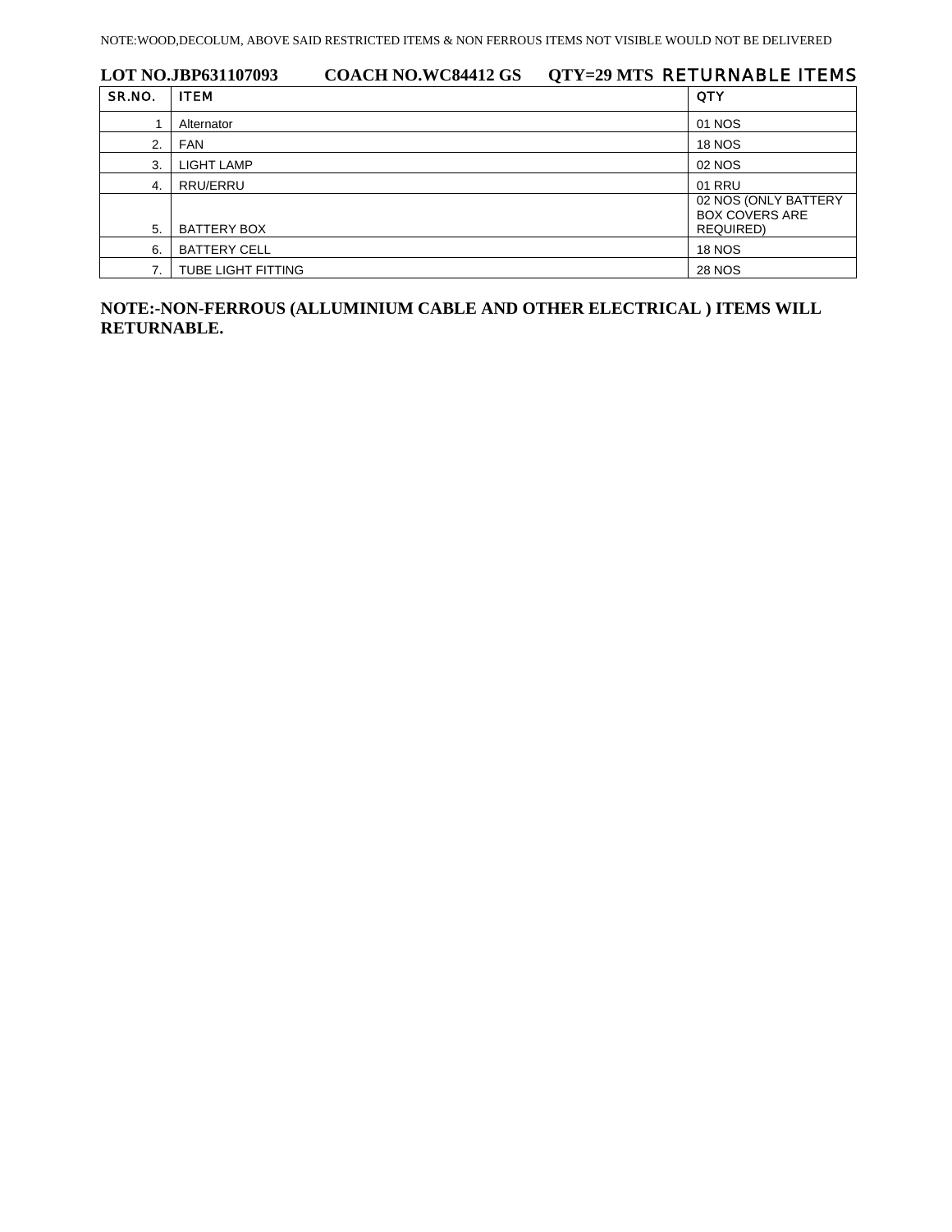| LOT NO.JBP631107093 |                           | <b>COACH NO.WC84412 GS</b> | OTY=29 MTS RETURNABLE ITEMS |                                               |
|---------------------|---------------------------|----------------------------|-----------------------------|-----------------------------------------------|
| SR.NO.              | <b>ITEM</b>               |                            |                             | <b>QTY</b>                                    |
|                     | Alternator                |                            |                             | 01 NOS                                        |
| 2.                  | <b>FAN</b>                |                            |                             | <b>18 NOS</b>                                 |
| 3.                  | <b>LIGHT LAMP</b>         |                            |                             | 02 NOS                                        |
| 4.                  | RRU/ERRU                  |                            |                             | 01 RRU                                        |
|                     |                           |                            |                             | 02 NOS (ONLY BATTERY<br><b>BOX COVERS ARE</b> |
| 5.                  | BATTERY BOX               |                            |                             | <b>REQUIRED)</b>                              |
| 6.                  | <b>BATTERY CELL</b>       |                            |                             | <b>18 NOS</b>                                 |
|                     | <b>TUBE LIGHT FITTING</b> |                            |                             | <b>28 NOS</b>                                 |

**NOTE:-NON-FERROUS (ALLUMINIUM CABLE AND OTHER ELECTRICAL ) ITEMS WILL RETURNABLE.**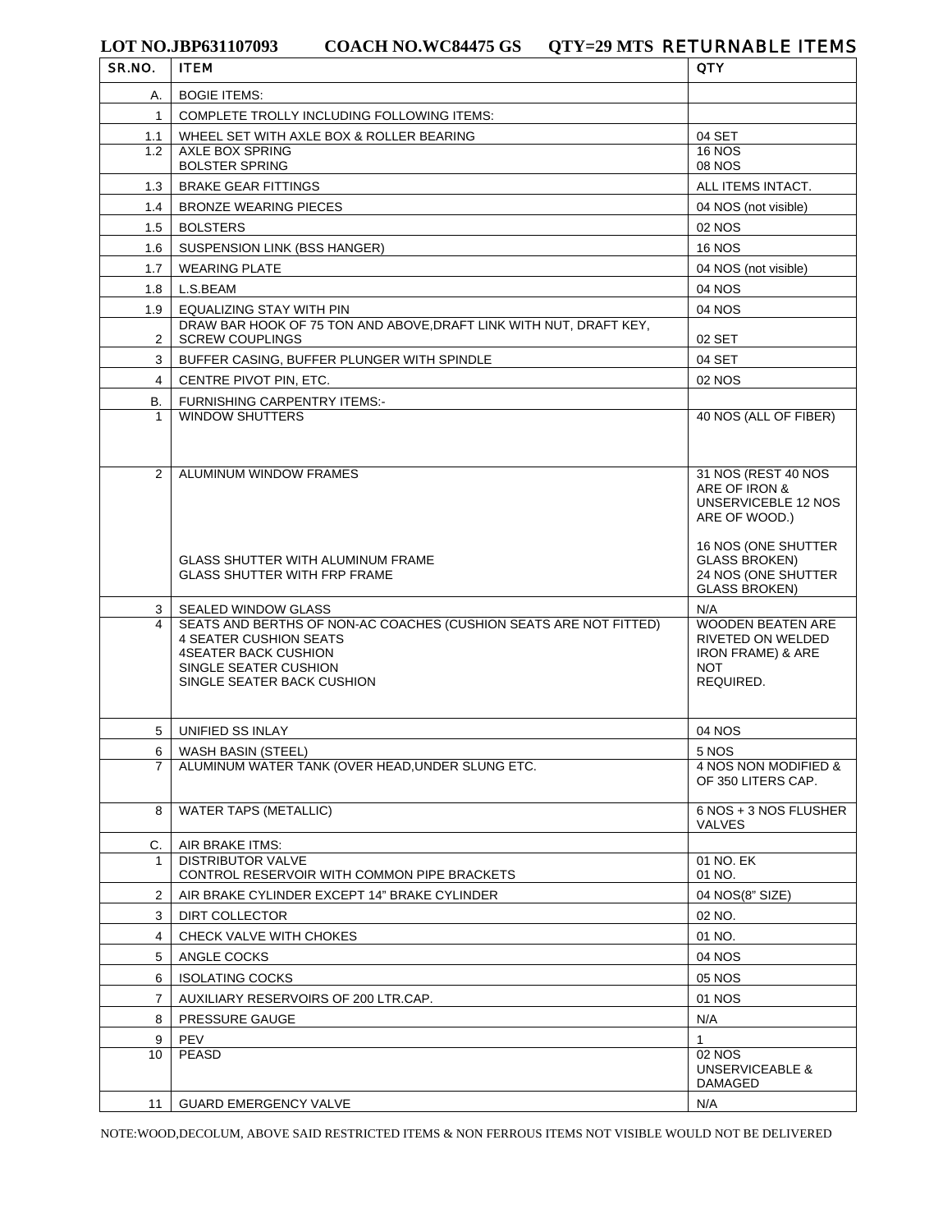| SR.NO.         | <b>ITEM</b>                                                                                  | <b>QTY</b>                                  |
|----------------|----------------------------------------------------------------------------------------------|---------------------------------------------|
| А.             | <b>BOGIE ITEMS:</b>                                                                          |                                             |
| 1              | COMPLETE TROLLY INCLUDING FOLLOWING ITEMS:                                                   |                                             |
| 1.1            | WHEEL SET WITH AXLE BOX & ROLLER BEARING                                                     | 04 SET                                      |
| 1.2            | <b>AXLE BOX SPRING</b>                                                                       | <b>16 NOS</b>                               |
|                | <b>BOLSTER SPRING</b>                                                                        | <b>08 NOS</b>                               |
| 1.3            | <b>BRAKE GEAR FITTINGS</b>                                                                   | ALL ITEMS INTACT.                           |
| 1.4            | <b>BRONZE WEARING PIECES</b>                                                                 | 04 NOS (not visible)                        |
| 1.5            | <b>BOLSTERS</b>                                                                              | 02 NOS                                      |
| 1.6            | SUSPENSION LINK (BSS HANGER)                                                                 | <b>16 NOS</b>                               |
| 1.7            | <b>WEARING PLATE</b>                                                                         | 04 NOS (not visible)                        |
| 1.8            | L.S.BEAM                                                                                     | 04 NOS                                      |
| 1.9            | EQUALIZING STAY WITH PIN                                                                     | 04 NOS                                      |
| 2              | DRAW BAR HOOK OF 75 TON AND ABOVE, DRAFT LINK WITH NUT, DRAFT KEY,<br><b>SCREW COUPLINGS</b> | 02 SET                                      |
| 3              | BUFFER CASING, BUFFER PLUNGER WITH SPINDLE                                                   | 04 SET                                      |
| $\overline{4}$ | CENTRE PIVOT PIN, ETC.                                                                       | 02 NOS                                      |
| В.             | FURNISHING CARPENTRY ITEMS:-                                                                 |                                             |
|                | <b>WINDOW SHUTTERS</b>                                                                       | 40 NOS (ALL OF FIBER)                       |
|                |                                                                                              |                                             |
|                |                                                                                              |                                             |
| $\overline{2}$ | ALUMINUM WINDOW FRAMES                                                                       | 31 NOS (REST 40 NOS                         |
|                |                                                                                              | ARE OF IRON &<br>UNSERVICEBLE 12 NOS        |
|                |                                                                                              | ARE OF WOOD.)                               |
|                |                                                                                              |                                             |
|                | <b>GLASS SHUTTER WITH ALUMINUM FRAME</b>                                                     | 16 NOS (ONE SHUTTER<br><b>GLASS BROKEN)</b> |
|                | <b>GLASS SHUTTER WITH FRP FRAME</b>                                                          | 24 NOS (ONE SHUTTER                         |
|                |                                                                                              | <b>GLASS BROKEN)</b>                        |
| 3<br>4         | SEALED WINDOW GLASS<br>SEATS AND BERTHS OF NON-AC COACHES (CUSHION SEATS ARE NOT FITTED)     | N/A<br><b>WOODEN BEATEN ARE</b>             |
|                | 4 SEATER CUSHION SEATS                                                                       | RIVETED ON WELDED                           |
|                | <b>4SEATER BACK CUSHION</b>                                                                  | <b>IRON FRAME) &amp; ARE</b>                |
|                | SINGLE SEATER CUSHION<br>SINGLE SEATER BACK CUSHION                                          | <b>NOT</b><br>REQUIRED.                     |
|                |                                                                                              |                                             |
|                |                                                                                              |                                             |
| 5              | UNIFIED SS INLAY                                                                             | 04 NOS                                      |
| 6              | WASH BASIN (STEEL)<br>ALUMINUM WATER TANK (OVER HEAD, UNDER SLUNG ETC.                       | 5 NOS                                       |
| $\overline{7}$ |                                                                                              | 4 NOS NON MODIFIED &<br>OF 350 LITERS CAP.  |
|                |                                                                                              |                                             |
| 8              | <b>WATER TAPS (METALLIC)</b>                                                                 | 6 NOS + 3 NOS FLUSHER<br>VALVES             |
| C.             | AIR BRAKE ITMS:                                                                              |                                             |
|                | <b>DISTRIBUTOR VALVE</b>                                                                     | $01$ NO. EK                                 |
|                | CONTROL RESERVOIR WITH COMMON PIPE BRACKETS                                                  | 01 NO.                                      |
| $\overline{2}$ | AIR BRAKE CYLINDER EXCEPT 14" BRAKE CYLINDER                                                 | 04 NOS(8" SIZE)                             |
| 3              | DIRT COLLECTOR                                                                               | 02 NO.                                      |
| 4              | CHECK VALVE WITH CHOKES                                                                      | 01 NO.                                      |
| 5              | ANGLE COCKS                                                                                  | 04 NOS                                      |
| 6              | <b>ISOLATING COCKS</b>                                                                       | 05 NOS                                      |
| $\overline{7}$ | AUXILIARY RESERVOIRS OF 200 LTR.CAP.                                                         | 01 NOS                                      |
| 8              | PRESSURE GAUGE                                                                               | N/A                                         |
| 9              | PEV                                                                                          | $\mathbf{1}$                                |
| 10             | <b>PEASD</b>                                                                                 | 02 NOS                                      |
|                |                                                                                              | <b>UNSERVICEABLE &amp;</b><br>DAMAGED       |
| 11             | <b>GUARD EMERGENCY VALVE</b>                                                                 | N/A                                         |
|                |                                                                                              |                                             |

NOTE:WOOD,DECOLUM, ABOVE SAID RESTRICTED ITEMS & NON FERROUS ITEMS NOT VISIBLE WOULD NOT BE DELIVERED